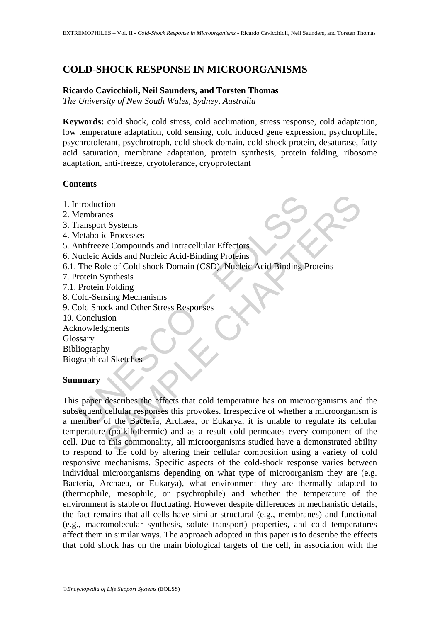# **COLD-SHOCK RESPONSE IN MICROORGANISMS**

# **Ricardo Cavicchioli, Neil Saunders, and Torsten Thomas**

*The University of New South Wales, Sydney, Australia* 

**Keywords:** cold shock, cold stress, cold acclimation, stress response, cold adaptation, low temperature adaptation, cold sensing, cold induced gene expression, psychrophile, psychrotolerant, psychrotroph, cold-shock domain, cold-shock protein, desaturase, fatty acid saturation, membrane adaptation, protein synthesis, protein folding, ribosome adaptation, anti-freeze, cryotolerance, cryoprotectant

## **Contents**

- 1. Introduction
- 2. Membranes
- 3. Transport Systems
- 4. Metabolic Processes
- 5. Antifreeze Compounds and Intracellular Effectors
- 6. Nucleic Acids and Nucleic Acid-Binding Proteins
- 6.1. The Role of Cold-shock Domain (CSD), Nucleic Acid Binding Proteins
- 7. Protein Synthesis
- 7.1. Protein Folding
- 8. Cold-Sensing Mechanisms
- 9. Cold Shock and Other Stress Responses
- 10. Conclusion
- Acknowledgments
- Glossary
- Bibliography
- Biographical Sketches

# **Summary**

UNESCO – EOLSS tion<br>
The Systems<br>
Second Chapter Cores Compounds and Intracellular Effectors<br>
Second Conditions and Mucleic Acid-Binding Proteins<br>
Second And Nucleic Acid-Binding Proteins<br>
Second Conditions<br>
Second Other Stress Responses This paper describes the effects that cold temperature has on microorganisms and the subsequent cellular responses this provokes. Irrespective of whether a microorganism is a member of the Bacteria, Archaea, or Eukarya, it is unable to regulate its cellular temperature (poikilothermic) and as a result cold permeates every component of the cell. Due to this commonality, all microorganisms studied have a demonstrated ability to respond to the cold by altering their cellular composition using a variety of cold responsive mechanisms. Specific aspects of the cold-shock response varies between individual microorganisms depending on what type of microorganism they are (e.g. Bacteria, Archaea, or Eukarya), what environment they are thermally adapted to (thermophile, mesophile, or psychrophile) and whether the temperature of the environment is stable or fluctuating. However despite differences in mechanistic details, the fact remains that all cells have similar structural (e.g., membranes) and functional (e.g., macromolecular synthesis, solute transport) properties, and cold temperatures affect them in similar ways. The approach adopted in this paper is to describe the effects that cold shock has on the main biological targets of the cell, in association with the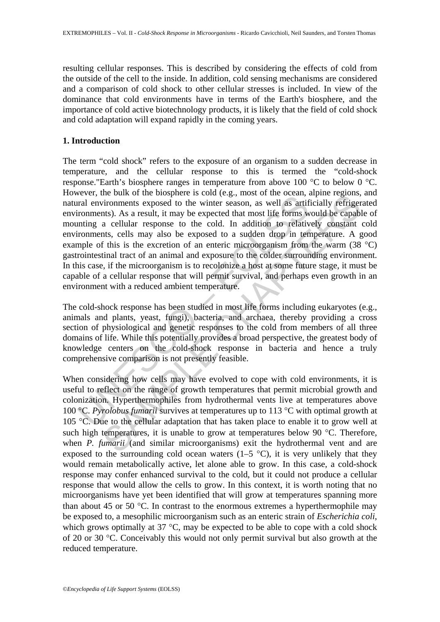resulting cellular responses. This is described by considering the effects of cold from the outside of the cell to the inside. In addition, cold sensing mechanisms are considered and a comparison of cold shock to other cellular stresses is included. In view of the dominance that cold environments have in terms of the Earth's biosphere, and the importance of cold active biotechnology products, it is likely that the field of cold shock and cold adaptation will expand rapidly in the coming years.

## **1. Introduction**

From our considering to the baseback is conditional environments exposed to the winter season, as well as artificant<br>trial environments exposed to the winter season, as well as artificant<br>ironments, cells may also be expo me out to use bosonic is solid e.g., most of the ocean, apprenent exponsion in the original referention as a result, it may be expected that most life forms would be capable a cellular response to the cold. In addition to The term "cold shock" refers to the exposure of an organism to a sudden decrease in temperature, and the cellular response to this is termed the "cold-shock response."Earth's biosphere ranges in temperature from above 100 °C to below 0 °C. However, the bulk of the biosphere is cold (e.g., most of the ocean, alpine regions, and natural environments exposed to the winter season, as well as artificially refrigerated environments). As a result, it may be expected that most life forms would be capable of mounting a cellular response to the cold. In addition to relatively constant cold environments, cells may also be exposed to a sudden drop in temperature. A good example of this is the excretion of an enteric microorganism from the warm (38 °C) gastrointestinal tract of an animal and exposure to the colder surrounding environment. In this case, if the microorganism is to recolonize a host at some future stage, it must be capable of a cellular response that will permit survival, and perhaps even growth in an environment with a reduced ambient temperature.

The cold-shock response has been studied in most life forms including eukaryotes (e.g., animals and plants, yeast, fungi), bacteria, and archaea, thereby providing a cross section of physiological and genetic responses to the cold from members of all three domains of life. While this potentially provides a broad perspective, the greatest body of knowledge centers on the cold-shock response in bacteria and hence a truly comprehensive comparison is not presently feasible.

When considering how cells may have evolved to cope with cold environments, it is useful to reflect on the range of growth temperatures that permit microbial growth and colonization. Hyperthermophiles from hydrothermal vents live at temperatures above 100 °C. *Pyrolobus fumarii* survives at temperatures up to 113 °C with optimal growth at 105 °C. Due to the cellular adaptation that has taken place to enable it to grow well at such high temperatures, it is unable to grow at temperatures below 90 °C. Therefore, when *P. fumarii* (and similar microorganisms) exit the hydrothermal vent and are exposed to the surrounding cold ocean waters  $(1-5 \degree C)$ , it is very unlikely that they would remain metabolically active, let alone able to grow. In this case, a cold-shock response may confer enhanced survival to the cold, but it could not produce a cellular response that would allow the cells to grow. In this context, it is worth noting that no microorganisms have yet been identified that will grow at temperatures spanning more than about 45 or 50  $^{\circ}$ C. In contrast to the enormous extremes a hyperthermophile may be exposed to, a mesophilic microorganism such as an enteric strain of *Escherichia coli*, which grows optimally at 37 °C, may be expected to be able to cope with a cold shock of 20 or 30 °C. Conceivably this would not only permit survival but also growth at the reduced temperature.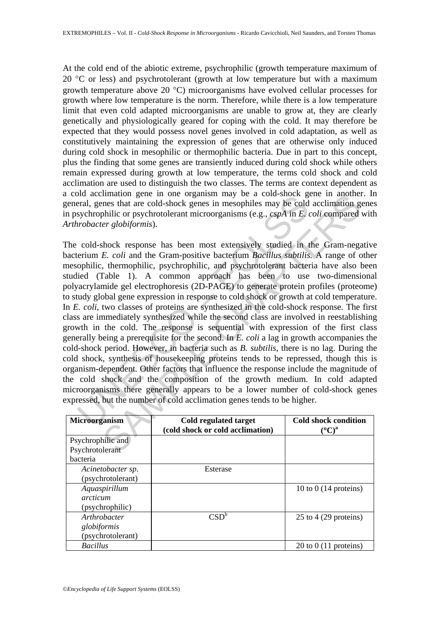At the cold end of the abiotic extreme, psychrophilic (growth temperature maximum of 20  $\degree$ C or less) and psychrotolerant (growth at low temperature but with a maximum growth temperature above 20 °C) microorganisms have evolved cellular processes for growth where low temperature is the norm. Therefore, while there is a low temperature limit that even cold adapted microorganisms are unable to grow at, they are clearly genetically and physiologically geared for coping with the cold. It may therefore be expected that they would possess novel genes involved in cold adaptation, as well as constitutively maintaining the expression of genes that are otherwise only induced during cold shock in mesophilic or thermophilic bacteria. Due in part to this concept, plus the finding that some genes are transiently induced during cold shock while others remain expressed during growth at low temperature, the terms cold shock and cold acclimation are used to distinguish the two classes. The terms are context dependent as a cold acclimation gene in one organism may be a cold-shock gene in another. In general, genes that are cold-shock genes in mesophiles may be cold acclimation genes in psychrophilic or psychrotolerant microorganisms (e.g., *cspA* in *E. coli* compared with *Arthrobacter globiformis*).

on accuration get in one originals imay be a cour-shock genes that are cold-shock genes in mesophiles may be cold<br>sychrophilic or psychrotolerant microorganisms (e.g.,  $cspA$  in *E*, *arobacter globiformis*).<br>cold-shock re mianion get in one organism may be a cout-since in anomerational parameter and the constant are cold-shock genes in mesophiles may be cold acclimation gybilic or psychrotolerant microorganisms (e.g.,  $cspA$  in *E. coli* co The cold-shock response has been most extensively studied in the Gram-negative bacterium *E. coli* and the Gram-positive bacterium *Bacillus subtilis.* A range of other mesophilic, thermophilic, psychrophilic, and psychrotolerant bacteria have also been studied (Table 1). A common approach has been to use two-dimensional polyacrylamide gel electrophoresis (2D-PAGE) to generate protein profiles (proteome) to study global gene expression in response to cold shock or growth at cold temperature. In *E. coli,* two classes of proteins are synthesized in the cold-shock response. The first class are immediately synthesized while the second class are involved in reestablishing growth in the cold. The response is sequential with expression of the first class generally being a prerequisite for the second. In *E. coli* a lag in growth accompanies the cold-shock period. However, in bacteria such as *B. subtilis*, there is no lag. During the cold shock, synthesis of housekeeping proteins tends to be repressed, though this is organism-dependent. Other factors that influence the response include the magnitude of the cold shock and the composition of the growth medium. In cold adapted microorganisms there generally appears to be a lower number of cold-shock genes expressed, but the number of cold acclimation genes tends to be higher.

| Microorganism     | Cold regulated target<br>(cold shock or cold acclimation) | Cold shock condition<br>$({}^{\circ}C)^{a}$ |
|-------------------|-----------------------------------------------------------|---------------------------------------------|
| Psychrophilic and |                                                           |                                             |
| Psychrotolerant   |                                                           |                                             |
| bacteria          |                                                           |                                             |
| Acinetobacter sp. | Esterase                                                  |                                             |
| (psychrotolerant) |                                                           |                                             |
| Aquaspirillum     |                                                           | 10 to 0 $(14$ proteins)                     |
| arcticum          |                                                           |                                             |
| (psychrophilic)   |                                                           |                                             |
| Arthrobacter      | $\mathsf{CSD}^{\mathsf{b}}$                               | 25 to 4 $(29$ proteins)                     |
| globiformis       |                                                           |                                             |
| (psychrotolerant) |                                                           |                                             |
| <b>Bacillus</b>   |                                                           | $20$ to $0$ (11 proteins)                   |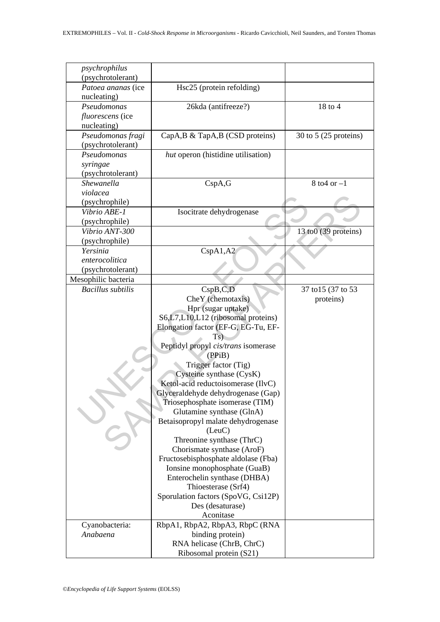| psychrophilus                     |                                              |                         |
|-----------------------------------|----------------------------------------------|-------------------------|
| (psychrotolerant)                 |                                              |                         |
| Patoea ananas (ice<br>nucleating) | Hsc25 (protein refolding)                    |                         |
| Pseudomonas                       | 26kda (antifreeze?)                          | 18 to 4                 |
| <i>fluorescens</i> (ice           |                                              |                         |
| nucleating)                       |                                              |                         |
| Pseudomonas fragi                 | CapA, B & TapA, B (CSD proteins)             | 30 to 5 $(25$ proteins) |
| (psychrotolerant)                 |                                              |                         |
| Pseudomonas                       | hut operon (histidine utilisation)           |                         |
| syringae                          |                                              |                         |
| (psychrotolerant)                 |                                              |                         |
| <b>Shewanella</b>                 | CspA, G                                      | $8$ to 4 or $-1$        |
| violacea                          |                                              |                         |
| (psychrophile)                    |                                              |                         |
| Vibrio ABE-1                      | Isocitrate dehydrogenase                     |                         |
| (psychrophile)                    |                                              |                         |
| Vibrio ANT-300                    |                                              | 13 to0 (39 proteins)    |
| (psychrophile)                    |                                              |                         |
| Yersinia                          | CspA1,A2                                     |                         |
| enterocolitica                    |                                              |                         |
| (psychrotolerant)                 |                                              |                         |
| Mesophilic bacteria               |                                              |                         |
| <b>Bacillus</b> subtilis          | CspB,C,D                                     | 37 to 15 (37 to 53)     |
|                                   | CheY (chemotaxis)                            | proteins)               |
|                                   | Hpr (sugar uptake)                           |                         |
|                                   | S6,L7,L10,L12 (ribosomal proteins)           |                         |
|                                   | Elongation factor (EF-G, EG-Tu, EF-          |                         |
|                                   | Ts.                                          |                         |
|                                   | Peptidyl propyl cis/trans isomerase          |                         |
|                                   | (PPiB)                                       |                         |
|                                   | Trigger factor (Tig)                         |                         |
|                                   | Cysteine synthase (CysK)                     |                         |
|                                   | Ketol-acid reductoisomerase (IlvC)           |                         |
|                                   | Glyceraldehyde dehydrogenase (Gap)           |                         |
|                                   | Triosephosphate isomerase (TIM)              |                         |
|                                   | Glutamine synthase (GlnA)                    |                         |
|                                   | Betaisopropyl malate dehydrogenase<br>(LeuC) |                         |
|                                   | Threonine synthase (ThrC)                    |                         |
|                                   | Chorismate synthase (AroF)                   |                         |
|                                   | Fructosebisphosphate aldolase (Fba)          |                         |
|                                   | Ionsine monophosphate (GuaB)                 |                         |
|                                   | Enterochelin synthase (DHBA)                 |                         |
|                                   | Thioesterase (Srf4)                          |                         |
|                                   | Sporulation factors (SpoVG, Csi12P)          |                         |
|                                   | Des (desaturase)                             |                         |
|                                   | Aconitase                                    |                         |
| Cyanobacteria:                    | RbpA1, RbpA2, RbpA3, RbpC (RNA               |                         |
| Anabaena                          | binding protein)                             |                         |
|                                   | RNA helicase (ChrB, ChrC)                    |                         |
|                                   | Ribosomal protein (S21)                      |                         |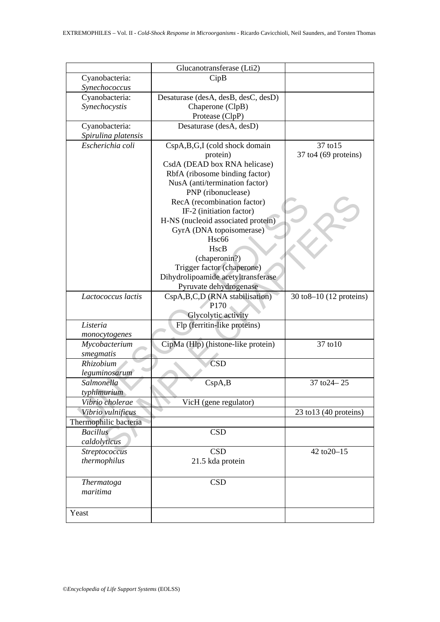|                       | Glucanotransferase (Lti2)           |                                               |
|-----------------------|-------------------------------------|-----------------------------------------------|
| Cyanobacteria:        | CipB                                |                                               |
| Synechococcus         |                                     |                                               |
| Cyanobacteria:        | Desaturase (desA, desB, desC, desD) |                                               |
| Synechocystis         | Chaperone (ClpB)                    |                                               |
|                       | Protease (ClpP)                     |                                               |
|                       |                                     |                                               |
| Cyanobacteria:        | Desaturase (desA, desD)             |                                               |
| Spirulina platensis   |                                     |                                               |
| Escherichia coli      | CspA,B,G,I (cold shock domain       | 37 to 15                                      |
|                       | protein)                            | $37$ to 4 (69 proteins)                       |
|                       | CsdA (DEAD box RNA helicase)        |                                               |
|                       | RbfA (ribosome binding factor)      |                                               |
|                       | NusA (anti/termination factor)      |                                               |
|                       | PNP (ribonuclease)                  |                                               |
|                       | RecA (recombination factor)         |                                               |
|                       | IF-2 (initiation factor)            |                                               |
|                       | H-NS (nucleoid associated protein)  |                                               |
|                       | GyrA (DNA topoisomerase)            |                                               |
|                       | Hsc <sub>66</sub>                   |                                               |
|                       | HscB                                |                                               |
|                       | (chaperonin?)                       |                                               |
|                       | Trigger factor (chaperone)          |                                               |
|                       | Dihydrolipoamide acetyltransferase  |                                               |
|                       | Pyruvate dehydrogenase              |                                               |
| Lactococcus lactis    | CspA,B,C,D (RNA stabilisation)      | $30 \text{ to } 8 - 10 \text{ (12 proteins)}$ |
|                       | P <sub>170</sub>                    |                                               |
|                       | Glycolytic activity                 |                                               |
| Listeria              | Flp (ferritin-like proteins)        |                                               |
| monocytogenes         |                                     |                                               |
| Mycobacterium         | CipMa (Hlp) (histone-like protein)  | 37 to 10                                      |
| smegmatis             |                                     |                                               |
| Rhizobium             | <b>CSD</b>                          |                                               |
| leguminosarum         |                                     |                                               |
| Salmonella            | CspA,B                              | 37 to 24 - 25                                 |
| typhimurium           |                                     |                                               |
| Vibrio cholerae       | VicH (gene regulator)               |                                               |
| Vibrio vulnificus     |                                     | $23$ to $13$ (40 proteins)                    |
|                       |                                     |                                               |
| Thermophilic bacteria |                                     |                                               |
| <b>Bacillus</b>       | <b>CSD</b>                          |                                               |
| caldolyticus          |                                     |                                               |
| Streptococcus         | <b>CSD</b>                          | 42 to 20-15                                   |
| thermophilus          | 21.5 kda protein                    |                                               |
|                       |                                     |                                               |
| Thermatoga            | <b>CSD</b>                          |                                               |
| maritima              |                                     |                                               |
|                       |                                     |                                               |
| Yeast                 |                                     |                                               |
|                       |                                     |                                               |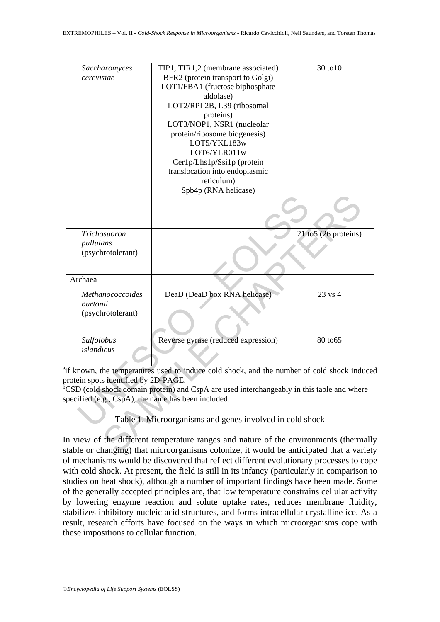| Saccharomyces<br>cerevisiae                                                                | TIP1, TIR1,2 (membrane associated)<br>BFR2 (protein transport to Golgi)<br>LOT1/FBA1 (fructose biphosphate<br>aldolase)<br>LOT2/RPL2B, L39 (ribosomal<br>proteins)<br>LOT3/NOP1, NSR1 (nucleolar<br>protein/ribosome biogenesis) | 30 to 10                 |
|--------------------------------------------------------------------------------------------|----------------------------------------------------------------------------------------------------------------------------------------------------------------------------------------------------------------------------------|--------------------------|
|                                                                                            | LOT5/YKL183w<br>LOT6/YLR011w<br>Cer1p/Lhs1p/Ssi1p (protein<br>translocation into endoplasmic<br>reticulum)<br>Spb4p (RNA helicase)                                                                                               |                          |
|                                                                                            |                                                                                                                                                                                                                                  |                          |
| Trichosporon<br>pullulans<br>(psychrotolerant)                                             |                                                                                                                                                                                                                                  | $21$ to $5(26$ proteins) |
| Archaea                                                                                    |                                                                                                                                                                                                                                  |                          |
| Methanococcoides<br>burtonii<br>(psychrotolerant)                                          | DeaD (DeaD box RNA helicase)                                                                                                                                                                                                     | 23 vs 4                  |
| Sulfolobus<br>islandicus                                                                   | Reverse gyrase (reduced expression)                                                                                                                                                                                              | 80 to 65                 |
| protein spots identified by 2D-PAGE.<br>pecified (e.g., CspA), the name has been included. | if known, the temperatures used to induce cold shock, and the number of cold shock induced<br>CSD (cold shock domain protein) and CspA are used interchangeably in this table and where                                          |                          |
|                                                                                            | Table 1. Microorganisms and genes involved in cold shock                                                                                                                                                                         |                          |
|                                                                                            | in view of the different temperature ranges and nature of the environments (thermally<br>table or changing) that microorganisms colonize, it would be anticipated that a variety                                                 |                          |

In view of the different temperature ranges and nature of the environments (thermally stable or changing) that microorganisms colonize, it would be anticipated that a variety of mechanisms would be discovered that reflect different evolutionary processes to cope with cold shock. At present, the field is still in its infancy (particularly in comparison to studies on heat shock), although a number of important findings have been made. Some of the generally accepted principles are, that low temperature constrains cellular activity by lowering enzyme reaction and solute uptake rates, reduces membrane fluidity, stabilizes inhibitory nucleic acid structures, and forms intracellular crystalline ice. As a result, research efforts have focused on the ways in which microorganisms cope with these impositions to cellular function.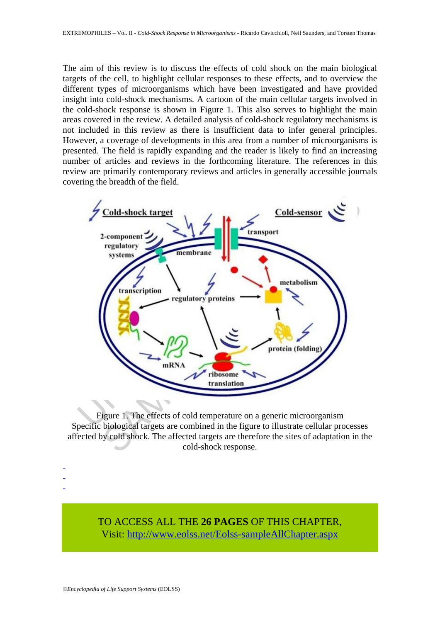The aim of this review is to discuss the effects of cold shock on the main biological targets of the cell, to highlight cellular responses to these effects, and to overview the different types of microorganisms which have been investigated and have provided insight into cold-shock mechanisms. A cartoon of the main cellular targets involved in the cold-shock response is shown in Figure 1. This also serves to highlight the main areas covered in the review. A detailed analysis of cold-shock regulatory mechanisms is not included in this review as there is insufficient data to infer general principles. However, a coverage of developments in this area from a number of microorganisms is presented. The field is rapidly expanding and the reader is likely to find an increasing number of articles and reviews in the forthcoming literature. The references in this review are primarily contemporary reviews and articles in generally accessible journals covering the breadth of the field.



Figure 1. The effects of cold temperature on a generic microorganism Specific biological targets are combined in the figure to illustrate cellular processes affected by cold shock. The affected targets are therefore the sites of adaptation in the cold-shock response.

TO ACCESS ALL THE **26 PAGES** OF THIS CHAPTER, Visi[t: http://www.eolss.net/Eolss-sampleAllChapter.aspx](https://www.eolss.net/ebooklib/sc_cart.aspx?File=E6-73-03-04)

- - -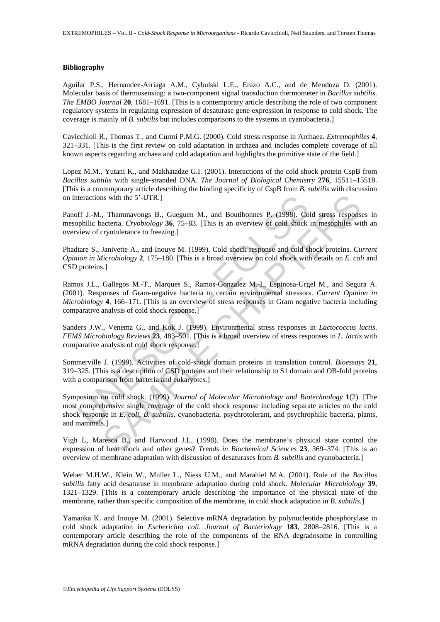### **Bibliography**

Aguilar P.S., Hernandez-Arriaga A.M., Cybulski L.E., Erazo A.C., and de Mendoza D. (2001). Molecular basis of thermosensing: a two-component signal transduction thermometer in *Bacillus subtilis*. *The EMBO Journal* **20**, 1681–1691. [This is a contemporary article describing the role of two component regulatory systems in regulating expression of desaturase gene expression in response to cold shock. The coverage is mainly of *B. subtilis* but includes comparisons to the systems in cyanobacteria.]

Cavicchioli R., Thomas T., and Curmi P.M.G. (2000). Cold stress response in Archaea. *Extremophiles* **4**, 321–331. [This is the first review on cold adaptation in archaea and includes complete coverage of all known aspects regarding archaea and cold adaptation and highlights the primitive state of the field.]

Lopez M.M., Yutani K., and Makhatadze G.I. (2001). Interactions of the cold shock protein CspB from *Bacillus subtilis* with single-stranded DNA. *The Journal of Biological Chemistry* **276**, 15511–15518. [This is a contemporary article describing the binding specificity of CspB from *B. subtilis* with discussion on interactions with the 5'-UTR.]

Panoff J.-M., Thammavongs B., Gueguen M., and Boutibonnes P. (1998). Cold stress responses in mesophilic bacteria. *Cryobiology* **36**, 75–83. [This is an overview of cold shock in mesophiles with an overview of cryotolerance to freezing.]

Phadtare S., Janivette A., and Inouye M. (1999). Cold shock response and cold shock proteins. *Current Opinion in Microbiology* **2**, 175–180. [This is a broad overview on cold shock with details on *E. coli* and CSD proteins.]

teractions with the 5'-UTR.]<br>
ff J.-M., Thammavongs B., Gueguen M., and Boutibonnes P. (1998). Co<br>
philic bacteria. Cryobiology 36, 75-83. [This is an overview of cold shock<br>
view of cryotolerance to freezing.]<br>
ltare S., is with the 5'-UTR.]<br>
Thammavongs B., Gueguen M., and Boutibonnes P. (1998). Cold stress respons<br>
acteria. Cryobiology 36, 75-83. [This is an overview of cold shock in mesophiles wi<br>
almovet to freezing.]<br>
Invividence to f Ramos J.L., Gallegos M.-T., Marques S., Ramos-Gonzalez M.-I., Espinosa-Urgel M., and Segura A. (2001). Responses of Gram-negative bacteria to certain environmental stressors. *Current Opinion in Microbiology* **4**, 166–171. [This is an overview of stress responses in Gram negative bacteria including comparative analysis of cold shock response.]

Sanders J.W., Venema G., and Kok J. (1999). Environmental stress responses in *Lactococcus lactis*. *FEMS Microbiology Reviews* **23**, 483–501. [This is a broad overview of stress responses in *L. lactis* with comparative analysis of cold shock response.]

Sommerville J. (1999). Activities of cold-shock domain proteins in translation control. *Bioessays* **21**, 319–325. [This is a description of CSD proteins and their relationship to S1 domain and OB-fold proteins with a comparison from bacteria and eukaryotes.]

Symposium on cold shock. (1999). *Journal of Molecular Microbiology and Biotechnology* **1**(2). [The most comprehensive single coverage of the cold shock response including separate articles on the cold shock response in *E. coli, B. subtilis,* cyanobacteria, psychrotolerant, and psychrophilic bacteria, plants, and mammals.]

Vigh L, Maresca B., and Harwood J.L. (1998). Does the membrane's physical state control the expression of heat shock and other genes? *Trends in Biochemical Sciences* **23**, 369–374. [This is an overview of membrane adaptation with discussion of desaturases from *B. subtilis* and cyanobacteria.]

Weber M.H.W., Klein W., Muller L., Niess U.M., and Marahiel M.A. (2001). Role of the *Bacillus subtilis* fatty acid desaturase in membrane adaptation during cold shock. *Molecular Microbiology* **39**, 1321–1329. [This is a contemporary article describing the importance of the physical state of the membrane, rather than specific composition of the membrane, in cold shock adaptation in *B. subtilis.*]

Yamanka K. and Inouye M. (2001). Selective mRNA degradation by polynucleotide phosphorylase in cold shock adaptation in *Escherichia coli*. *Journal of Bacteriology* **183**, 2808–2816. [This is a contemporary article describing the role of the components of the RNA degradosome in controlling mRNA degradation during the cold shock response.]